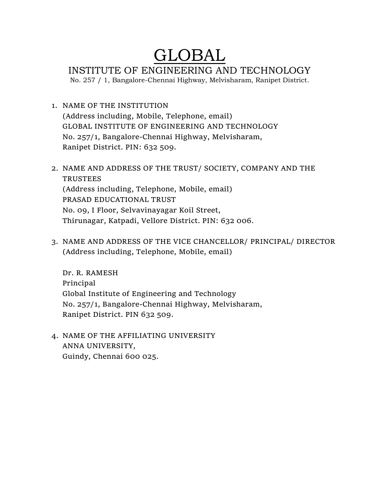# GLOBAL

INSTITUTE OF ENGINEERING AND TECHNOLOGY

No. 257 / 1, Bangalore-Chennai Highway, Melvisharam, Ranipet District.

- 1. NAME OF THE INSTITUTION (Address including, Mobile, Telephone, email) GLOBAL INSTITUTE OF ENGINEERING AND TECHNOLOGY No. 257/1, Bangalore-Chennai Highway, Melvisharam, Ranipet District. PIN: 632 509.
- 2. NAME AND ADDRESS OF THE TRUST/ SOCIETY, COMPANY AND THE TRUSTEES (Address including, Telephone, Mobile, email) PRASAD EDUCATIONAL TRUST No. 09, I Floor, Selvavinayagar Koil Street, Thirunagar, Katpadi, Vellore District. PIN: 632 006.
- 3. NAME AND ADDRESS OF THE VICE CHANCELLOR/ PRINCIPAL/ DIRECTOR (Address including, Telephone, Mobile, email)

Dr. R. RAMESH Principal Global Institute of Engineering and Technology No. 257/1, Bangalore-Chennai Highway, Melvisharam, Ranipet District. PIN 632 509.

4. NAME OF THE AFFILIATING UNIVERSITY ANNA UNIVERSITY, Guindy, Chennai 600 025.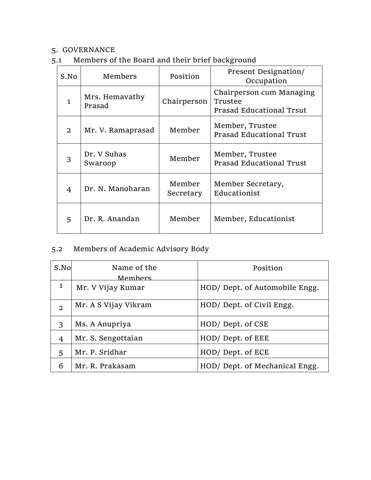## 5. GOVERNANCE

5.1 Members of the Board and their brief background

| S.No | Members                  | Position            | Present Designation/<br>Occupation                              |
|------|--------------------------|---------------------|-----------------------------------------------------------------|
| 1    | Mrs. Hemavathy<br>Prasad | Chairperson         | Chairperson cum Managing<br>Trustee<br>Prasad Educational Trsut |
| 2    | Mr. V. Ramaprasad        | Member              | Member, Trustee<br>Prasad Educational Trust                     |
| 3    | Dr. V Suhas<br>Swaroop   | Member              | Member, Trustee<br>Prasad Educational Trust                     |
| 4    | Dr. N. Manoharan         | Member<br>Secretary | Member Secretary,<br>Educationist                               |
| 5    | Dr. R. Anandan           | Member              | Member, Educationist                                            |

# 5.2 Members of Academic Advisory Body

| S.No           | Name of the<br>Members | Position                      |
|----------------|------------------------|-------------------------------|
| $\mathbf{1}$   | Mr. V Vijay Kumar      | HOD/Dept. of Automobile Engg. |
| $\overline{2}$ | Mr. A S Vijay Vikram   | HOD/ Dept. of Civil Engg.     |
| 3              | Ms. A Anupriya         | HOD/Dept. of CSE              |
| 4              | Mr. S. Sengottaian     | HOD/Dept. of EEE              |
| 5              | Mr. P. Sridhar         | HOD/Dept. of ECE              |
| 6              | Mr. R. Prakasam        | HOD/Dept. of Mechanical Engg. |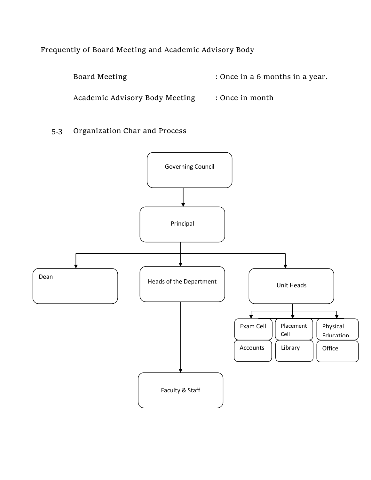Frequently of Board Meeting and Academic Advisory Body

Board Meeting  $\cdot$  Once in a 6 months in a year.

Academic Advisory Body Meeting : Once in month

5.3 Organization Char and Process

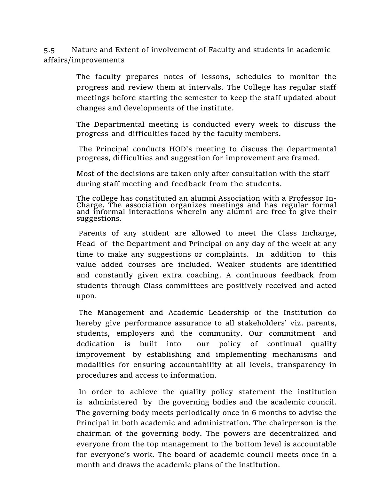5.5 Nature and Extent of involvement of Faculty and students in academic affairs/improvements

> The faculty prepares notes of lessons, schedules to monitor the progress and review them at intervals. The College has regular staff meetings before starting the semester to keep the staff updated about changes and developments of the institute.

> The Departmental meeting is conducted every week to discuss the progress and difficulties faced by the faculty members.

> The Principal conducts HOD's meeting to discuss the departmental progress, difficulties and suggestion for improvement are framed.

Most of the decisions are taken only after consultation with the staff during staff meeting and feedback from the students.

 The college has constituted an alumni Association with a Professor In-Charge. The association organizes meetings and has regular formal and informal interactions wherein any alumni are free to give their suggestions.

 Parents of any student are allowed to meet the Class Incharge, Head of the Department and Principal on any day of the week at any time to make any suggestions or complaints. In addition to this value added courses are included. Weaker students are identified and constantly given extra coaching. A continuous feedback from students through Class committees are positively received and acted upon.

 The Management and Academic Leadership of the Institution do hereby give performance assurance to all stakeholders' viz. parents, students, employers and the community. Our commitment and dedication is built into our policy of continual quality improvement by establishing and implementing mechanisms and modalities for ensuring accountability at all levels, transparency in procedures and access to information.

 In order to achieve the quality policy statement the institution is administered by the governing bodies and the academic council. The governing body meets periodically once in 6 months to advise the Principal in both academic and administration. The chairperson is the chairman of the governing body. The powers are decentralized and everyone from the top management to the bottom level is accountable for everyone's work. The board of academic council meets once in a month and draws the academic plans of the institution.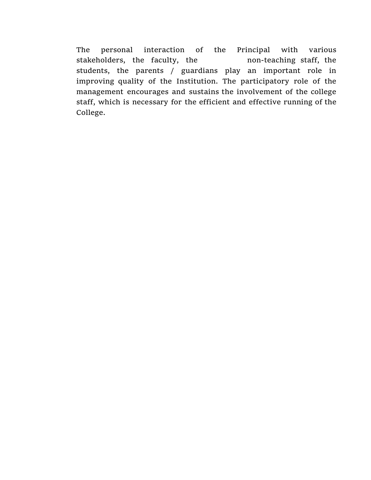The personal interaction of the Principal with various stakeholders, the faculty, the non-teaching staff, the students, the parents / guardians play an important role in improving quality of the Institution. The participatory role of the management encourages and sustains the involvement of the college staff, which is necessary for the efficient and effective running of the College.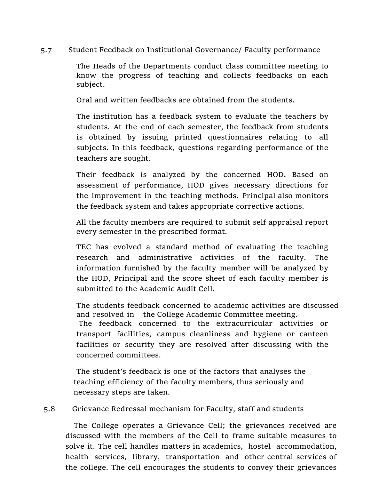5.7 Student Feedback on Institutional Governance/ Faculty performance

The Heads of the Departments conduct class committee meeting to know the progress of teaching and collects feedbacks on each subject.

Oral and written feedbacks are obtained from the students.

The institution has a feedback system to evaluate the teachers by students. At the end of each semester, the feedback from students is obtained by issuing printed questionnaires relating to all subjects. In this feedback, questions regarding performance of the teachers are sought.

 Their feedback is analyzed by the concerned HOD. Based on assessment of performance, HOD gives necessary directions for the improvement in the teaching methods. Principal also monitors the feedback system and takes appropriate corrective actions.

 All the faculty members are required to submit self appraisal report every semester in the prescribed format.

 TEC has evolved a standard method of evaluating the teaching research and administrative activities of the faculty. The information furnished by the faculty member will be analyzed by the HOD, Principal and the score sheet of each faculty member is submitted to the Academic Audit Cell.

The students feedback concerned to academic activities are discussed and resolved in the College Academic Committee meeting. The feedback concerned to the extracurricular activities or transport facilities, campus cleanliness and hygiene or canteen facilities or security they are resolved after discussing with the concerned committees.

The student's feedback is one of the factors that analyses the teaching efficiency of the faculty members, thus seriously and necessary steps are taken.

5.8 Grievance Redressal mechanism for Faculty, staff and students

The College operates a Grievance Cell; the grievances received are discussed with the members of the Cell to frame suitable measures to solve it. The cell handles matters in academics, hostel accommodation, health services, library, transportation and other central services of the college. The cell encourages the students to convey their grievances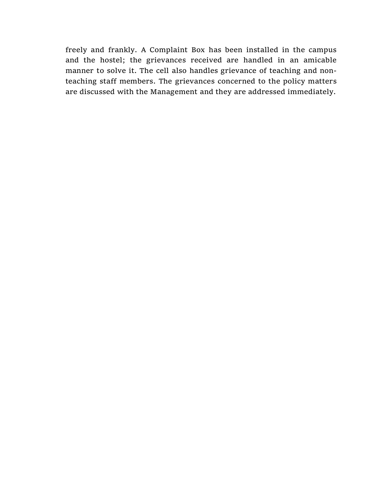freely and frankly. A Complaint Box has been installed in the campus and the hostel; the grievances received are handled in an amicable manner to solve it. The cell also handles grievance of teaching and nonteaching staff members. The grievances concerned to the policy matters are discussed with the Management and they are addressed immediately.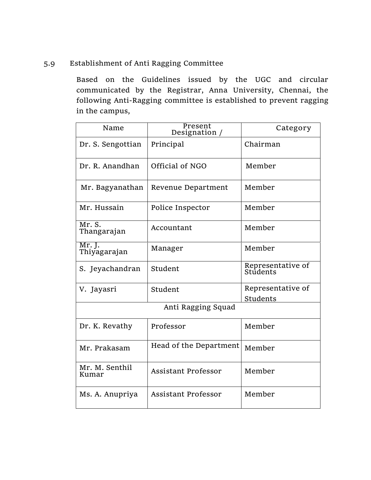## 5.9 Establishment of Anti Ragging Committee

Based on the Guidelines issued by the UGC and circular communicated by the Registrar, Anna University, Chennai, the following Anti-Ragging committee is established to prevent ragging in the campus,

| Name                    | Present<br>Designation /   | Category                      |
|-------------------------|----------------------------|-------------------------------|
| Dr. S. Sengottian       | Principal                  | Chairman                      |
| Dr. R. Anandhan         | Official of NGO            | Member                        |
| Mr. Bagyanathan         | Revenue Department         | Member                        |
| Mr. Hussain             | Police Inspector           | Member                        |
| Mr. S.<br>Thangarajan   | Accountant                 | Member                        |
| Mr. J.<br>Thiyagarajan  | Manager                    | Member                        |
| S. Jeyachandran         | Student                    | Representative of<br>Students |
| V. Jayasri              | Student                    | Representative of<br>Students |
|                         | Anti Ragging Squad         |                               |
| Dr. K. Revathy          | Professor                  | Member                        |
| Mr. Prakasam            | Head of the Department     | Member                        |
| Mr. M. Senthil<br>Kumar | <b>Assistant Professor</b> | Member                        |
| Ms. A. Anupriya         | <b>Assistant Professor</b> | Member                        |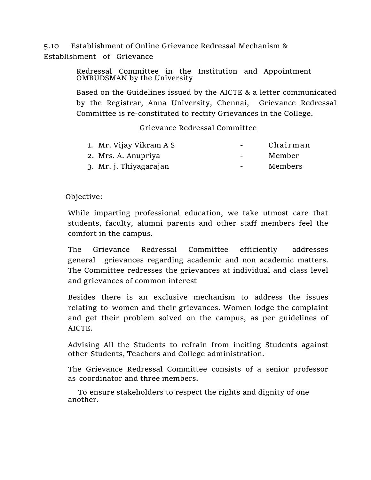5.10 Establishment of Online Grievance Redressal Mechanism & Establishment of Grievance

> Redressal Committee in the Institution and Appointment OMBUDSMAN by the University

Based on the Guidelines issued by the AICTE & a letter communicated by the Registrar, Anna University, Chennai, Grievance Redressal Committee is re-constituted to rectify Grievances in the College.

## Grievance Redressal Committee

| 1. Mr. Vijay Vikram A S | $\sim$ $\sim$            | Chairman |
|-------------------------|--------------------------|----------|
| 2. Mrs. A. Anupriya     | $\equiv$                 | Member   |
| 3. Mr. j. Thiyagarajan  | $\overline{\phantom{0}}$ | Members  |

## Objective:

While imparting professional education, we take utmost care that students, faculty, alumni parents and other staff members feel the comfort in the campus.

The Grievance Redressal Committee efficiently addresses general grievances regarding academic and non academic matters. The Committee redresses the grievances at individual and class level and grievances of common interest

Besides there is an exclusive mechanism to address the issues relating to women and their grievances. Women lodge the complaint and get their problem solved on the campus, as per guidelines of AICTE.

Advising All the Students to refrain from inciting Students against other Students, Teachers and College administration.

The Grievance Redressal Committee consists of a senior professor as coordinator and three members.

 To ensure stakeholders to respect the rights and dignity of one another.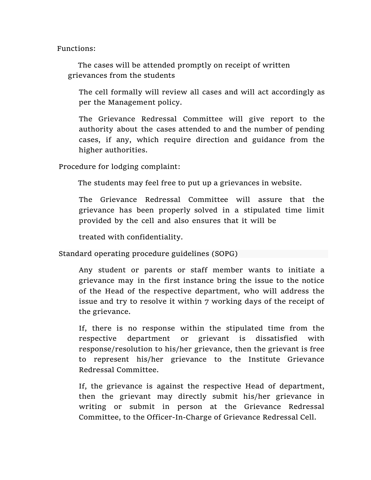Functions:

 The cases will be attended promptly on receipt of written grievances from the students

The cell formally will review all cases and will act accordingly as per the Management policy.

The Grievance Redressal Committee will give report to the authority about the cases attended to and the number of pending cases, if any, which require direction and guidance from the higher authorities.

Procedure for lodging complaint:

The students may feel free to put up a grievances in website.

The Grievance Redressal Committee will assure that the grievance has been properly solved in a stipulated time limit provided by the cell and also ensures that it will be

treated with confidentiality.

Standard operating procedure guidelines (SOPG)

Any student or parents or staff member wants to initiate a grievance may in the first instance bring the issue to the notice of the Head of the respective department, who will address the issue and try to resolve it within 7 working days of the receipt of the grievance.

If, there is no response within the stipulated time from the respective department or grievant is dissatisfied with response/resolution to his/her grievance, then the grievant is free to represent his/her grievance to the Institute Grievance Redressal Committee.

If, the grievance is against the respective Head of department, then the grievant may directly submit his/her grievance in writing or submit in person at the Grievance Redressal Committee, to the Officer-In-Charge of Grievance Redressal Cell.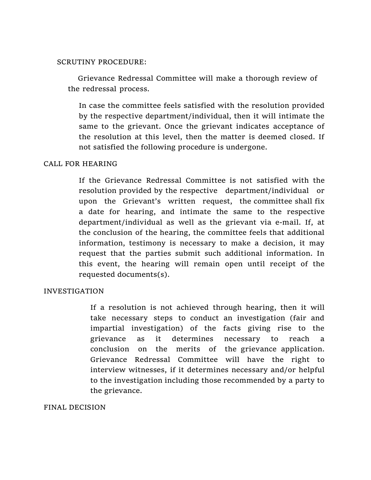#### SCRUTINY PROCEDURE:

 Grievance Redressal Committee will make a thorough review of the redressal process.

In case the committee feels satisfied with the resolution provided by the respective department/individual, then it will intimate the same to the grievant. Once the grievant indicates acceptance of the resolution at this level, then the matter is deemed closed. If not satisfied the following procedure is undergone.

#### CALL FOR HEARING

If the Grievance Redressal Committee is not satisfied with the resolution provided by the respective department/individual or upon the Grievant's written request, the committee shall fix a date for hearing, and intimate the same to the respective department/individual as well as the grievant via e-mail. If, at the conclusion of the hearing, the committee feels that additional information, testimony is necessary to make a decision, it may request that the parties submit such additional information. In this event, the hearing will remain open until receipt of the requested documents(s).

## INVESTIGATION

If a resolution is not achieved through hearing, then it will take necessary steps to conduct an investigation (fair and impartial investigation) of the facts giving rise to the grievance as it determines necessary to reach a conclusion on the merits of the grievance application. Grievance Redressal Committee will have the right to interview witnesses, if it determines necessary and/or helpful to the investigation including those recommended by a party to the grievance.

#### FINAL DECISION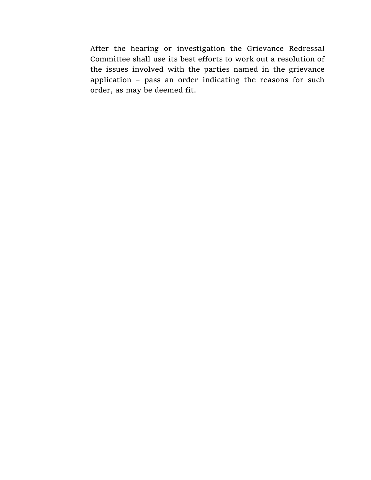After the hearing or investigation the Grievance Redressal Committee shall use its best efforts to work out a resolution of the issues involved with the parties named in the grievance application – pass an order indicating the reasons for such order, as may be deemed fit.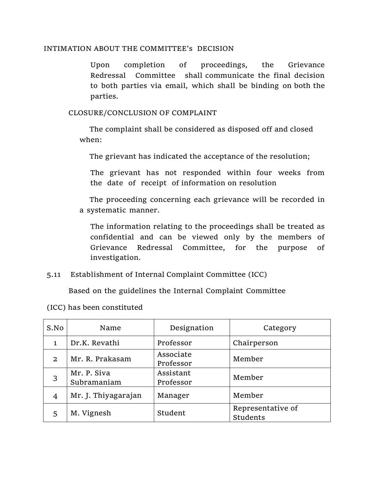## INTIMATION ABOUT THE COMMITTEE's DECISION

Upon completion of proceedings, the Grievance Redressal Committee shall communicate the final decision to both parties via email, which shall be binding on both the parties.

CLOSURE/CONCLUSION OF COMPLAINT

 The complaint shall be considered as disposed off and closed when:

The grievant has indicated the acceptance of the resolution;

The grievant has not responded within four weeks from the date of receipt of information on resolution

 The proceeding concerning each grievance will be recorded in a systematic manner.

The information relating to the proceedings shall be treated as confidential and can be viewed only by the members of Grievance Redressal Committee, for the purpose of investigation.

5.11 Establishment of Internal Complaint Committee (ICC)

Based on the guidelines the Internal Complaint Committee

| S.No         | Name                       | Designation            | Category                      |
|--------------|----------------------------|------------------------|-------------------------------|
| 1            | Dr.K. Revathi              | Professor              | Chairperson                   |
| $\mathbf{2}$ | Mr. R. Prakasam            | Associate<br>Professor | Member                        |
| 3            | Mr. P. Siva<br>Subramaniam | Assistant<br>Professor | Member                        |
| 4            | Mr. J. Thiyagarajan        | Manager                | Member                        |
| 5            | M. Vignesh                 | Student                | Representative of<br>Students |

(ICC) has been constituted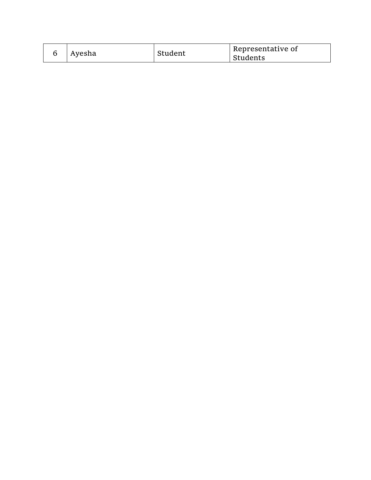|  | Ayesha | Student | Representative of<br>Students |
|--|--------|---------|-------------------------------|
|--|--------|---------|-------------------------------|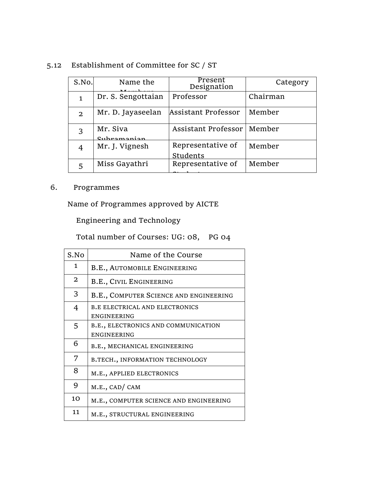# 5.12 Establishment of Committee for SC / ST

| S.No.        | Name the                | Present<br>Designation        | Category |
|--------------|-------------------------|-------------------------------|----------|
| $\mathbf{1}$ | Dr. S. Sengottaian      | Professor                     | Chairman |
| $\mathbf{2}$ | Mr. D. Jayaseelan       | Assistant Professor           | Member   |
| 3            | Mr. Siva<br>Subramanian | Assistant Professor           | Member   |
| 4            | Mr. J. Vignesh          | Representative of<br>Students | Member   |
| 5            | Miss Gayathri           | Representative of             | Member   |

## 6. Programmes

Name of Programmes approved by AICTE

Engineering and Technology

Total number of Courses: UG: 08, PG 04

| S.No           | Name of the Course                                   |
|----------------|------------------------------------------------------|
| $\mathbf{1}$   | B.E., AUTOMOBILE ENGINEERING                         |
| 2              | <b>B.E., CIVIL ENGINEERING</b>                       |
| 3              | B.E., COMPUTER SCIENCE AND ENGINEERING               |
| 4              | <b>B.E ELECTRICAL AND ELECTRONICS</b><br>ENGINEERING |
| 5              | B.E., ELECTRONICS AND COMMUNICATION<br>ENGINEERING   |
| 6              | B.E., MECHANICAL ENGINEERING                         |
| 7              | B.TECH., INFORMATION TECHNOLOGY                      |
| 8              | M.E., APPLIED ELECTRONICS                            |
| 9              | M.E., CAD/ CAM                                       |
| 1 <sub>O</sub> | M.E., COMPUTER SCIENCE AND ENGINEERING               |
| 11             | M.E., STRUCTURAL ENGINEERING                         |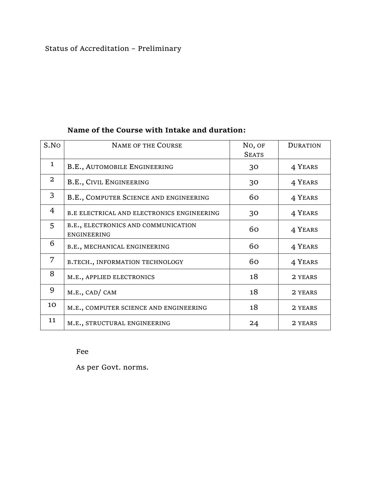# Status of Accreditation – Preliminary

## **Name of the Course with Intake and duration:**

| S.NO         | <b>NAME OF THE COURSE</b>                                 | No, OF<br><b>SEATS</b> | <b>DURATION</b> |
|--------------|-----------------------------------------------------------|------------------------|-----------------|
| $\mathbf{1}$ | <b>B.E., AUTOMOBILE ENGINEERING</b>                       | 30                     | 4 YEARS         |
| 2            | <b>B.E., CIVIL ENGINEERING</b>                            | 30                     | 4 YEARS         |
| 3            | B.E., COMPUTER SCIENCE AND ENGINEERING                    | 60                     | 4 YEARS         |
| 4            | B.E ELECTRICAL AND ELECTRONICS ENGINEERING                | 30                     | 4 YEARS         |
| 5            | B.E., ELECTRONICS AND COMMUNICATION<br><b>ENGINEERING</b> | 60                     | 4 YEARS         |
| 6            | B.E., MECHANICAL ENGINEERING                              | 60                     | 4 YEARS         |
| 7            | B.TECH., INFORMATION TECHNOLOGY                           | 60                     | 4 YEARS         |
| 8            | M.E., APPLIED ELECTRONICS                                 | 18                     | 2 YEARS         |
| 9            | M.E., CAD/CAM                                             | 18                     | 2 YEARS         |
| 10           | M.E., COMPUTER SCIENCE AND ENGINEERING                    | 18                     | 2 YEARS         |
| 11           | M.E., STRUCTURAL ENGINEERING                              | 24                     | 2 YEARS         |

#### Fee

As per Govt. norms.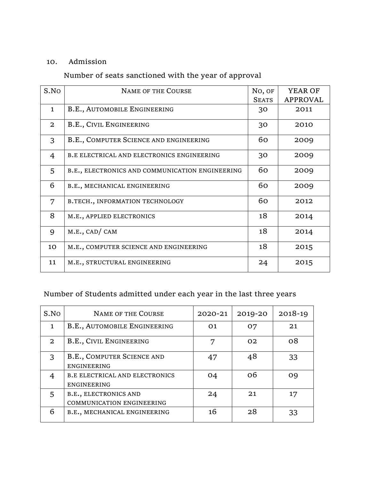## 10. Admission

# Number of seats sanctioned with the year of approval

| S.NO         | <b>NAME OF THE COURSE</b>                         | No, OF<br><b>SEATS</b> | YEAR OF<br><b>APPROVAL</b> |
|--------------|---------------------------------------------------|------------------------|----------------------------|
| $\mathbf{1}$ | <b>B.E., AUTOMOBILE ENGINEERING</b>               | 30                     | 2011                       |
| 2            | B.E., CIVIL ENGINEERING                           | 30                     | 2010                       |
| 3            | B.E., COMPUTER SCIENCE AND ENGINEERING            | 60                     | 2009                       |
| 4            | <b>B.E ELECTRICAL AND ELECTRONICS ENGINEERING</b> | 30                     | 2009                       |
| 5            | B.E., ELECTRONICS AND COMMUNICATION ENGINEERING   | 60                     | 2009                       |
| 6            | B.E., MECHANICAL ENGINEERING                      | 60                     | 2009                       |
| 7            | B.TECH., INFORMATION TECHNOLOGY                   | 60                     | 2012                       |
| 8            | M.E., APPLIED ELECTRONICS                         | 18                     | 2014                       |
| 9            | M.E., CAD/ CAM                                    | 18                     | 2014                       |
| 10           | M.E., COMPUTER SCIENCE AND ENGINEERING            | 18                     | 2015                       |
| 11           | M.E., STRUCTURAL ENGINEERING                      | 24                     | 2015                       |

# Number of Students admitted under each year in the last three years

| S.No         | <b>NAME OF THE COURSE</b>                                 | 2020-21    | 2019-20 | 2018-19 |
|--------------|-----------------------------------------------------------|------------|---------|---------|
| $\mathbf{1}$ | B.E., AUTOMOBILE ENGINEERING                              | $\Omega$ 1 | 07      | 21      |
| $\mathbf{2}$ | B.E., CIVIL ENGINEERING                                   | 7          | 02      | 08      |
| 3            | B.E., COMPUTER SCIENCE AND<br><b>ENGINEERING</b>          | 47         | 48      | 33      |
| 4            | <b>B.E ELECTRICAL AND ELECTRONICS</b><br>ENGINEERING      | 04         | 06      | O9      |
| 5            | B.E., ELECTRONICS AND<br><b>COMMUNICATION ENGINEERING</b> | 24         | 21      | 17      |
| 6            | B.E., MECHANICAL ENGINEERING                              | 16         | 28      | 33      |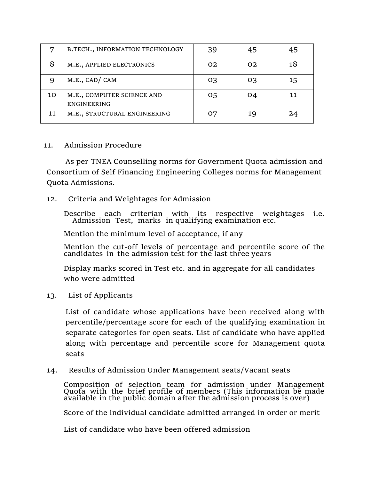|    | B.TECH., INFORMATION TECHNOLOGY                  | 39 | 45             | 45 |
|----|--------------------------------------------------|----|----------------|----|
| 8  | M.E., APPLIED ELECTRONICS                        | 02 | O <sub>2</sub> | 18 |
| 9  | M.E., CAD/CAM                                    | 03 | 03             | 15 |
| 10 | M.E., COMPUTER SCIENCE AND<br><b>ENGINEERING</b> | 05 | 04             | 11 |
| 11 | M.E., STRUCTURAL ENGINEERING                     | 07 | 19             | 24 |

#### 11. Admission Procedure

As per TNEA Counselling norms for Government Quota admission and Consortium of Self Financing Engineering Colleges norms for Management Quota Admissions.

## 12. Criteria and Weightages for Admission

Describe each criterian with its respective weightages i.e. Admission Test, marks in qualifying examination etc.

Mention the minimum level of acceptance, if any

Mention the cut-off levels of percentage and percentile score of the candidates in the admission test for the last three years

Display marks scored in Test etc. and in aggregate for all candidates who were admitted

13. List of Applicants

List of candidate whose applications have been received along with percentile/percentage score for each of the qualifying examination in separate categories for open seats. List of candidate who have applied along with percentage and percentile score for Management quota seats

## 14. Results of Admission Under Management seats/Vacant seats

Composition of selection team for admission under Management Quota with the brief profile of members (This information be made available in the public domain after the admission process is over)

Score of the individual candidate admitted arranged in order or merit

List of candidate who have been offered admission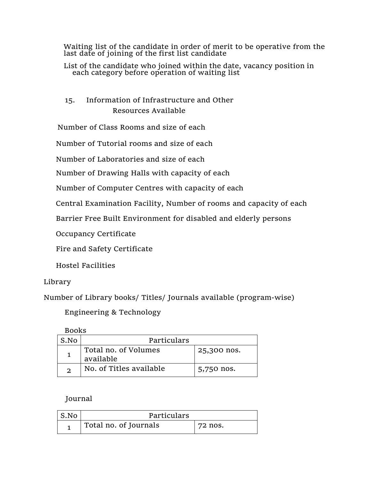Waiting list of the candidate in order of merit to be operative from the last date of joining of the first list candidate

List of the candidate who joined within the date, vacancy position in each category before operation of waiting list

## 15. Information of Infrastructure and Other Resources Available

Number of Class Rooms and size of each

Number of Tutorial rooms and size of each

Number of Laboratories and size of each

Number of Drawing Halls with capacity of each

Number of Computer Centres with capacity of each

Central Examination Facility, Number of rooms and capacity of each

Barrier Free Built Environment for disabled and elderly persons

Occupancy Certificate

Fire and Safety Certificate

Hostel Facilities

## Library

Number of Library books/ Titles/ Journals available (program-wise)

Engineering & Technology

Books

| S.No | Particulars                       |             |
|------|-----------------------------------|-------------|
|      | Total no. of Volumes<br>available | 25,300 nos. |
|      | No. of Titles available           | 5,750 nos.  |

Journal

| S.No | Particulars           |         |
|------|-----------------------|---------|
|      | Total no. of Journals | 72 nos. |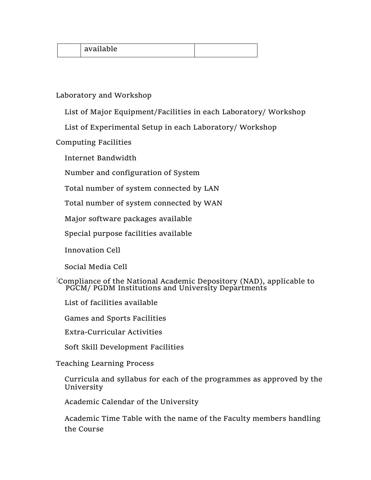|  | available<br>anavic<br>u |  |
|--|--------------------------|--|
|--|--------------------------|--|

## Laboratory and Workshop

List of Major Equipment/Facilities in each Laboratory/ Workshop

List of Experimental Setup in each Laboratory/ Workshop

Computing Facilities

Internet Bandwidth

Number and configuration of System

Total number of system connected by LAN

Total number of system connected by WAN

Major software packages available

Special purpose facilities available

Innovation Cell

Social Media Cell

Compliance of the National Academic Depository (NAD), applicable to PGCM/ PGDM Institutions and University Departments

List of facilities available

Games and Sports Facilities

Extra-Curricular Activities

Soft Skill Development Facilities

## Teaching Learning Process

Curricula and syllabus for each of the programmes as approved by the University

Academic Calendar of the University

Academic Time Table with the name of the Faculty members handling the Course